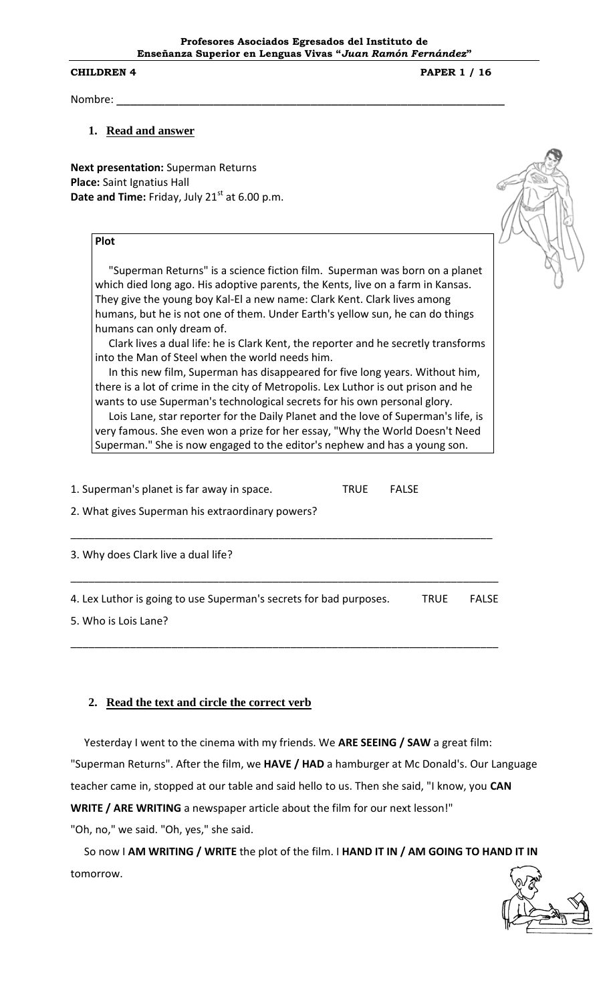**CHILDREN 4 PAPER 1 / 16** 

Nombre: \_\_\_\_\_\_\_\_\_\_\_\_\_\_\_\_\_\_\_\_\_\_\_\_\_\_\_\_\_\_\_\_\_\_\_\_\_\_\_\_\_\_\_\_\_\_\_\_\_\_\_\_\_\_\_\_

#### **1. Read and answer**

**Next presentation:** Superman Returns **Place:** Saint Ignatius Hall Date and Time: Friday, July 21<sup>st</sup> at 6.00 p.m.

### **Plot**

 "Superman Returns" is a science fiction film. Superman was born on a planet which died long ago. His adoptive parents, the Kents, live on a farm in Kansas. They give the young boy Kal-El a new name: Clark Kent. Clark lives among humans, but he is not one of them. Under Earth's yellow sun, he can do things humans can only dream of.

 Clark lives a dual life: he is Clark Kent, the reporter and he secretly transforms into the Man of Steel when the world needs him.

 In this new film, Superman has disappeared for five long years. Without him, there is a lot of crime in the city of Metropolis. Lex Luthor is out prison and he wants to use Superman's technological secrets for his own personal glory.

 Lois Lane, star reporter for the Daily Planet and the love of Superman's life, is very famous. She even won a prize for her essay, "Why the World Doesn't Need Superman." She is now engaged to the editor's nephew and has a young son.

1. Superman's planet is far away in space. TRUE FALSE

2. What gives Superman his extraordinary powers?

3. Why does Clark live a dual life?

4. Lex Luthor is going to use Superman's secrets for bad purposes. TRUE FALSE

\_\_\_\_\_\_\_\_\_\_\_\_\_\_\_\_\_\_\_\_\_\_\_\_\_\_\_\_\_\_\_\_\_\_\_\_\_\_\_\_\_\_\_\_\_\_\_\_\_\_\_\_\_\_\_\_\_\_\_\_\_\_\_\_\_\_\_\_\_\_\_\_

\_\_\_\_\_\_\_\_\_\_\_\_\_\_\_\_\_\_\_\_\_\_\_\_\_\_\_\_\_\_\_\_\_\_\_\_\_\_\_\_\_\_\_\_\_\_\_\_\_\_\_\_\_\_\_\_\_\_\_\_\_\_\_\_\_\_\_\_\_\_\_\_

\_\_\_\_\_\_\_\_\_\_\_\_\_\_\_\_\_\_\_\_\_\_\_\_\_\_\_\_\_\_\_\_\_\_\_\_\_\_\_\_\_\_\_\_\_\_\_\_\_\_\_\_\_\_\_\_\_\_\_\_\_\_\_\_\_\_\_\_\_\_\_

5. Who is Lois Lane?

### **2. Read the text and circle the correct verb**

 Yesterday I went to the cinema with my friends. We **ARE SEEING / SAW** a great film: "Superman Returns". After the film, we **HAVE / HAD** a hamburger at Mc Donald's. Our Language teacher came in, stopped at our table and said hello to us. Then she said, "I know, you **CAN WRITE / ARE WRITING** a newspaper article about the film for our next lesson!" "Oh, no," we said. "Oh, yes," she said.

 So now I **AM WRITING / WRITE** the plot of the film. I **HAND IT IN / AM GOING TO HAND IT IN** tomorrow.

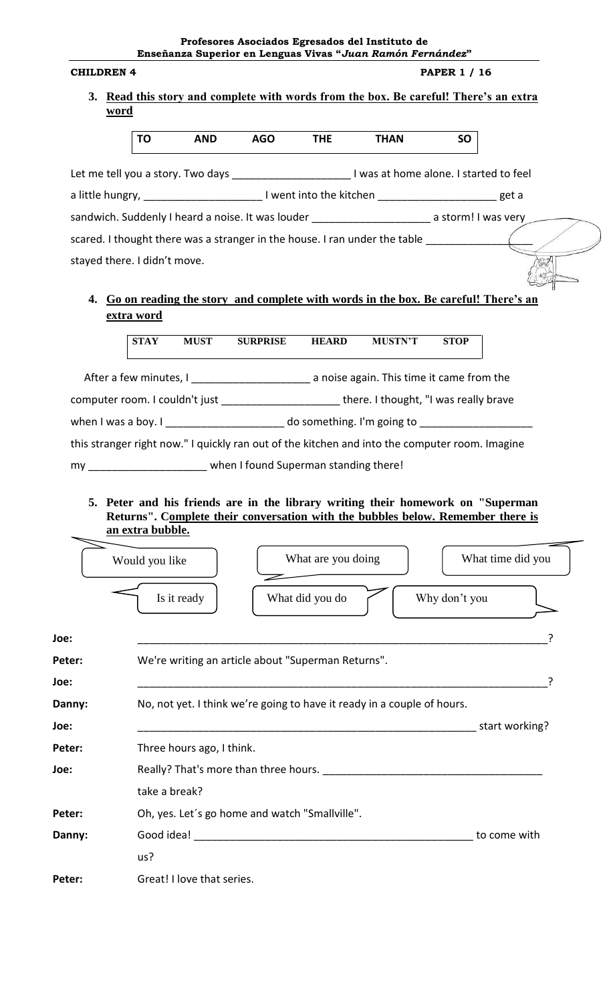**Profesores Asociados Egresados del Instituto de Enseñanza Superior en Lenguas Vivas "***Juan Ramón Fernández***"**

| <b>CHILDREN 4</b>                                                                                         |                                                                                                                                                                                         |                 |                    | <b>PAPER 1 / 16</b> |             |                   |  |  |
|-----------------------------------------------------------------------------------------------------------|-----------------------------------------------------------------------------------------------------------------------------------------------------------------------------------------|-----------------|--------------------|---------------------|-------------|-------------------|--|--|
| word                                                                                                      | 3. Read this story and complete with words from the box. Be careful! There's an extra                                                                                                   |                 |                    |                     |             |                   |  |  |
|                                                                                                           | TO<br><b>AND</b>                                                                                                                                                                        | <b>AGO</b>      | <b>THE</b>         | <b>THAN</b>         | <b>SO</b>   |                   |  |  |
| Let me tell you a story. Two days ________________________________ I was at home alone. I started to feel |                                                                                                                                                                                         |                 |                    |                     |             |                   |  |  |
| a little hungry, ____________________________I went into the kitchen __________________________get a      |                                                                                                                                                                                         |                 |                    |                     |             |                   |  |  |
| sandwich. Suddenly I heard a noise. It was louder _________________________ a storm! I was very           |                                                                                                                                                                                         |                 |                    |                     |             |                   |  |  |
| scared. I thought there was a stranger in the house. I ran under the table                                |                                                                                                                                                                                         |                 |                    |                     |             |                   |  |  |
| stayed there. I didn't move.                                                                              |                                                                                                                                                                                         |                 |                    |                     |             |                   |  |  |
|                                                                                                           | 4. Go on reading the story and complete with words in the box. Be careful! There's an                                                                                                   |                 |                    |                     |             |                   |  |  |
| extra word                                                                                                |                                                                                                                                                                                         |                 |                    |                     |             |                   |  |  |
|                                                                                                           | <b>STAY</b><br><b>MUST</b>                                                                                                                                                              | <b>SURPRISE</b> | <b>HEARD</b>       | <b>MUSTN'T</b>      | <b>STOP</b> |                   |  |  |
|                                                                                                           |                                                                                                                                                                                         |                 |                    |                     |             |                   |  |  |
|                                                                                                           | computer room. I couldn't just _______________________there. I thought, "I was really brave                                                                                             |                 |                    |                     |             |                   |  |  |
| when I was a boy. I ______________________ do something. I'm going to __________________                  |                                                                                                                                                                                         |                 |                    |                     |             |                   |  |  |
|                                                                                                           | this stranger right now." I quickly ran out of the kitchen and into the computer room. Imagine                                                                                          |                 |                    |                     |             |                   |  |  |
|                                                                                                           | my my when I found Superman standing there!                                                                                                                                             |                 |                    |                     |             |                   |  |  |
|                                                                                                           | 5. Peter and his friends are in the library writing their homework on "Superman"<br>Returns". Complete their conversation with the bubbles below. Remember there is<br>an extra bubble. |                 |                    |                     |             |                   |  |  |
|                                                                                                           | Would you like                                                                                                                                                                          |                 | What are you doing |                     |             | What time did you |  |  |

|        | Is it ready<br>What did you do<br>Why don't you                         |                |  |  |  |  |  |  |
|--------|-------------------------------------------------------------------------|----------------|--|--|--|--|--|--|
| Joe:   |                                                                         |                |  |  |  |  |  |  |
| Peter: | We're writing an article about "Superman Returns".                      |                |  |  |  |  |  |  |
| Joe:   |                                                                         |                |  |  |  |  |  |  |
| Danny: | No, not yet. I think we're going to have it ready in a couple of hours. |                |  |  |  |  |  |  |
| Joe:   |                                                                         | start working? |  |  |  |  |  |  |
| Peter: | Three hours ago, I think.                                               |                |  |  |  |  |  |  |
| Joe:   | Really? That's more than three hours.                                   |                |  |  |  |  |  |  |
|        | take a break?                                                           |                |  |  |  |  |  |  |
| Peter: | Oh, yes. Let's go home and watch "Smallville".                          |                |  |  |  |  |  |  |
| Danny: |                                                                         | to come with   |  |  |  |  |  |  |
|        | us?                                                                     |                |  |  |  |  |  |  |
| Peter: | Great! I love that series.                                              |                |  |  |  |  |  |  |